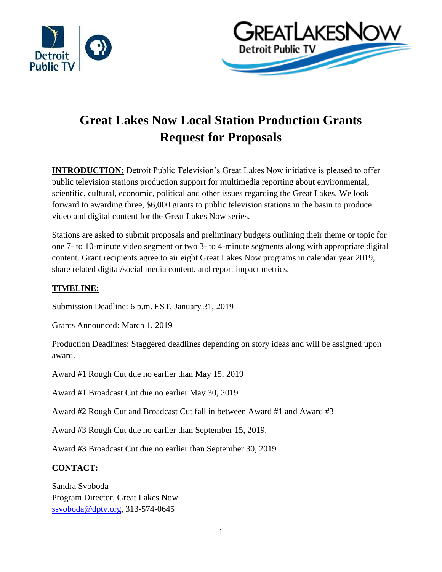



# **Great Lakes Now Local Station Production Grants Request for Proposals**

**INTRODUCTION:** Detroit Public Television's Great Lakes Now initiative is pleased to offer public television stations production support for multimedia reporting about environmental, scientific, cultural, economic, political and other issues regarding the Great Lakes. We look forward to awarding three, \$6,000 grants to public television stations in the basin to produce video and digital content for the Great Lakes Now series.

Stations are asked to submit proposals and preliminary budgets outlining their theme or topic for one 7- to 10-minute video segment or two 3- to 4-minute segments along with appropriate digital content. Grant recipients agree to air eight Great Lakes Now programs in calendar year 2019, share related digital/social media content, and report impact metrics.

# **TIMELINE:**

Submission Deadline: 6 p.m. EST, January 31, 2019

Grants Announced: March 1, 2019

Production Deadlines: Staggered deadlines depending on story ideas and will be assigned upon award.

Award #1 Rough Cut due no earlier than May 15, 2019

Award #1 Broadcast Cut due no earlier May 30, 2019

Award #2 Rough Cut and Broadcast Cut fall in between Award #1 and Award #3

Award #3 Rough Cut due no earlier than September 15, 2019.

Award #3 Broadcast Cut due no earlier than September 30, 2019

# **CONTACT:**

Sandra Svoboda Program Director, Great Lakes Now [ssvoboda@dptv.org,](mailto:ssvoboda@dptv.org) 313-574-0645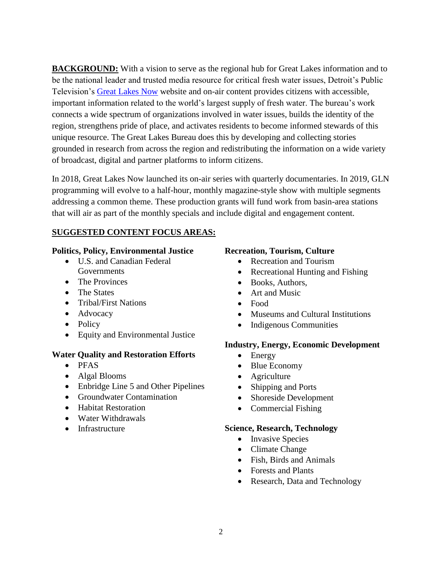**BACKGROUND:** With a vision to serve as the regional hub for Great Lakes information and to be the national leader and trusted media resource for critical fresh water issues, Detroit's Public Television's [Great Lakes Now](http://www.greatlakesnow.org/) website and on-air content provides citizens with accessible, important information related to the world's largest supply of fresh water. The bureau's work connects a wide spectrum of organizations involved in water issues, builds the identity of the region, strengthens pride of place, and activates residents to become informed stewards of this unique resource. The Great Lakes Bureau does this by developing and collecting stories grounded in research from across the region and redistributing the information on a wide variety of broadcast, digital and partner platforms to inform citizens.

In 2018, Great Lakes Now launched its on-air series with quarterly documentaries. In 2019, GLN programming will evolve to a half-hour, monthly magazine-style show with multiple segments addressing a common theme. These production grants will fund work from basin-area stations that will air as part of the monthly specials and include digital and engagement content.

# **SUGGESTED CONTENT FOCUS AREAS:**

## **Politics, Policy, Environmental Justice**

- U.S. and Canadian Federal **Governments**
- The Provinces
- The States
- Tribal/First Nations
- Advocacy
- Policy
- Equity and Environmental Justice

# **Water Quality and Restoration Efforts**

- PFAS
- Algal Blooms
- Enbridge Line 5 and Other Pipelines
- Groundwater Contamination
- Habitat Restoration
- Water Withdrawals
- Infrastructure

## **Recreation, Tourism, Culture**

- Recreation and Tourism
- Recreational Hunting and Fishing
- Books, Authors,
- Art and Music
- Food
- Museums and Cultural Institutions
- Indigenous Communities

# **Industry, Energy, Economic Development**

- Energy
- Blue Economy
- Agriculture
- Shipping and Ports
- Shoreside Development
- Commercial Fishing

### **Science, Research, Technology**

- Invasive Species
- Climate Change
- Fish, Birds and Animals
- Forests and Plants
- Research, Data and Technology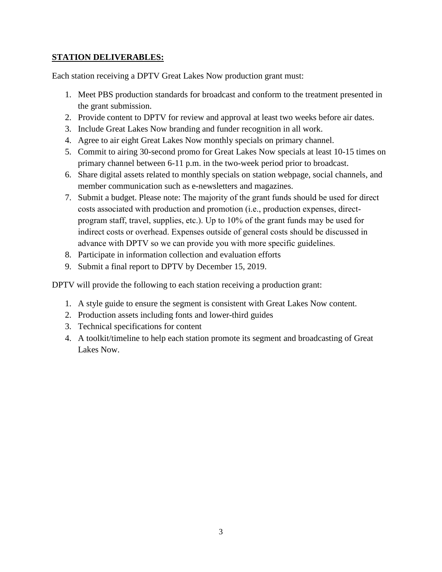# **STATION DELIVERABLES:**

Each station receiving a DPTV Great Lakes Now production grant must:

- 1. Meet PBS production standards for broadcast and conform to the treatment presented in the grant submission.
- 2. Provide content to DPTV for review and approval at least two weeks before air dates.
- 3. Include Great Lakes Now branding and funder recognition in all work.
- 4. Agree to air eight Great Lakes Now monthly specials on primary channel.
- 5. Commit to airing 30-second promo for Great Lakes Now specials at least 10-15 times on primary channel between 6-11 p.m. in the two-week period prior to broadcast.
- 6. Share digital assets related to monthly specials on station webpage, social channels, and member communication such as e-newsletters and magazines.
- 7. Submit a budget. Please note: The majority of the grant funds should be used for direct costs associated with production and promotion (i.e., production expenses, directprogram staff, travel, supplies, etc.). Up to 10% of the grant funds may be used for indirect costs or overhead. Expenses outside of general costs should be discussed in advance with DPTV so we can provide you with more specific guidelines.
- 8. Participate in information collection and evaluation efforts
- 9. Submit a final report to DPTV by December 15, 2019.

DPTV will provide the following to each station receiving a production grant:

- 1. A style guide to ensure the segment is consistent with Great Lakes Now content.
- 2. Production assets including fonts and lower-third guides
- 3. Technical specifications for content
- 4. A toolkit/timeline to help each station promote its segment and broadcasting of Great Lakes Now.